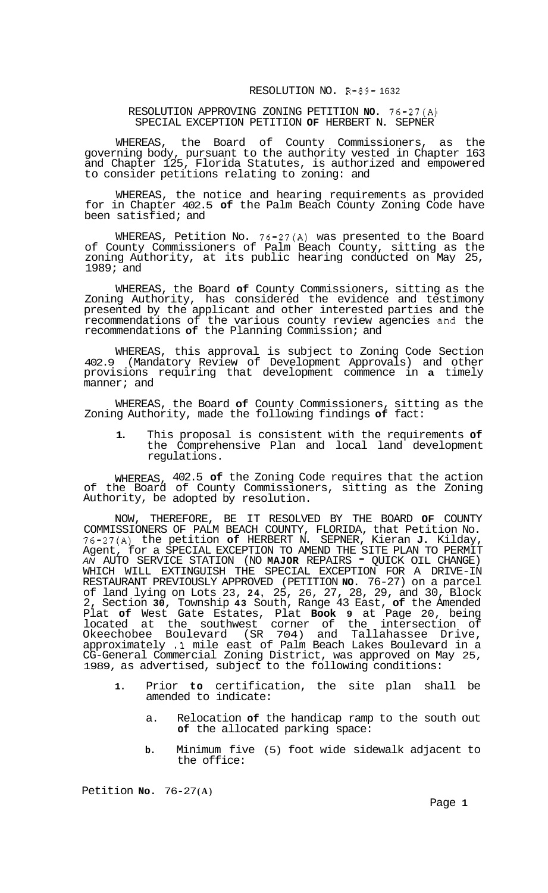## RESOLUTION NO. R-89- 1632

## RESOLUTION APPROVING ZONING PETITION **NO.** 76-27(A) SPECIAL EXCEPTION PETITION **OF** HERBERT N. SEPNER

WHEREAS, the Board of County Commissioners, as the governing body, pursuant to the authority vested in Chapter 163 and Chapter 125, Florida Statutes, is authorized and empowered to consider petitions relating to zoning: and

WHEREAS, the notice and hearing requirements as provided for in Chapter 402.5 **of** the Palm Beach County Zoning Code have been satisfied; and

WHEREAS, Petition No. 76-27(A) was presented to the Board of County Commissioners of Palm Beach County, sitting as the zoning Authority, at its public hearing conducted on May 25, 1989; and

WHEREAS, the Board **of** County Commissioners, sitting as the Zoning Authority, has considered the evidence and testimony presented by the applicant and other interested parties and the recommendations of the various county review agencies and the recommendations **of** the Planning Commission; and

WHEREAS, this approval is subject to Zoning Code Section 402.9 (Mandatory Review of Development Approvals) and other provisions requiring that development commence in **a** timely manner; and

WHEREAS, the Board **of** County Commissioners, sitting as the Zoning Authority, made the following findings **of** fact:

**1.** This proposal is consistent with the requirements **of**  the Comprehensive Plan and local land development regulations.

WHEREAS, 402.5 **of** the Zoning Code requires that the action of the Board of County Commissioners, sitting as the Zoning Authority, be adopted by resolution.

NOW, THEREFORE, BE IT RESOLVED BY THE BOARD **OF** COUNTY COMMISSIONERS OF PALM BEACH COUNTY, FLORIDA, that Petition No. 76-27(A) the petition **of** HERBERT N. SEPNER, Kieran **J.** Kilday, Agent, for a SPECIAL EXCEPTION TO AMEND THE SITE PLAN TO PERMIT *AN* AUTO SERVICE STATION (NO **MAJOR** REPAIRS - QUICK OIL CHANGE) WHICH WILL EXTINGUISH THE SPECIAL EXCEPTION FOR A DRIVE-IN RESTAURANT PREVIOUSLY APPROVED (PETITION **NO.** 76-27) on a parcel of land lying on Lots 23, **24,** 25, 26, 27, 28, 29, and 30, Block 2, Section **30,** Township **43** South, Range 43 East, **of** the Amended Plat **of** West Gate Estates, Plat **Book 9** at Page 20, being located at the southwest corner of the intersection of Okeechobee Boulevard (SR 704) and Tallahassee Drive, approximately .1 mile east of Palm Beach Lakes Boulevard in a CG-General Commercial Zoning District, was approved on May 25, 1989, as advertised, subject to the following conditions:

- **1.** Prior **to** certification, the site plan shall be amended to indicate:
	- a. Relocation **of** the handicap ramp to the south out **of** the allocated parking space:
	- **b.** Minimum five (5) foot wide sidewalk adjacent to the office:

Petition **No.** 76-27 **(A)**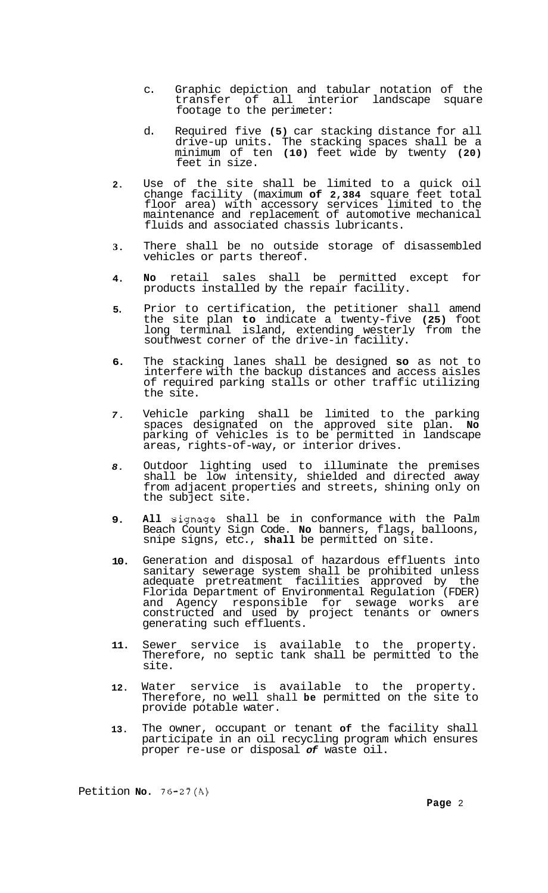- c. Graphic depiction and tabular notation of the transfer of all interior landscape square footage to the perimeter:
- d. Required five **(5)** car stacking distance for all drive-up units. The stacking spaces shall be a minimum of ten **(10)** feet wide by twenty **(20)**  feet in size.
- **2.**  Use of the site shall be limited to a quick oil change facility (maximum **of 2,384** square feet total floor area) with accessory services limited to the maintenance and replacement of automotive mechanical fluids and associated chassis lubricants.
- **3.**  There shall be no outside storage of disassembled vehicles or parts thereof.
- **4. No** retail sales shall be permitted except for products installed by the repair facility.
- **5.**  Prior to certification, the petitioner shall amend the site plan **to** indicate a twenty-five **(25)** foot long terminal island, extending westerly from the southwest corner of the drive-in facility.
- **6.**  The stacking lanes shall be designed **so** as not to interfere with the backup distances and access aisles of required parking stalls or other traffic utilizing the site.
- *7.*  Vehicle parking shall be limited to the parking spaces designated on the approved site plan. **No**  parking of vehicles is to be permitted in landscape areas, rights-of-way, or interior drives.
- *8.*  Outdoor lighting used to illuminate the premises shall be low intensity, shielded and directed away from adjacent properties and streets, shining only on the subject site.
- **9. All** signage shall be in conformance with the Palm Beach County Sign Code. **No** banners, flags, balloons, snipe signs, etc., **shall** be permitted on site.
- **10.**  Generation and disposal of hazardous effluents into sanitary sewerage system shall be prohibited unless adequate pretreatment facilities approved by the Florida Department of Environmental Regulation (FDER) and Agency responsible for sewage works are constructed and used by project tenants or owners generating such effluents.
- **11.**  Sewer service is available to the property. Therefore, no septic tank shall be permitted to the site.
- **12.**  Water service is available to the property. Therefore, no well shall **be** permitted on the site to provide potable water.
- **13.**  The owner, occupant or tenant **of** the facility shall participate in an oil recycling program which ensures proper re-use or disposal *of* waste oil.

Petition **No. 76-27(A)**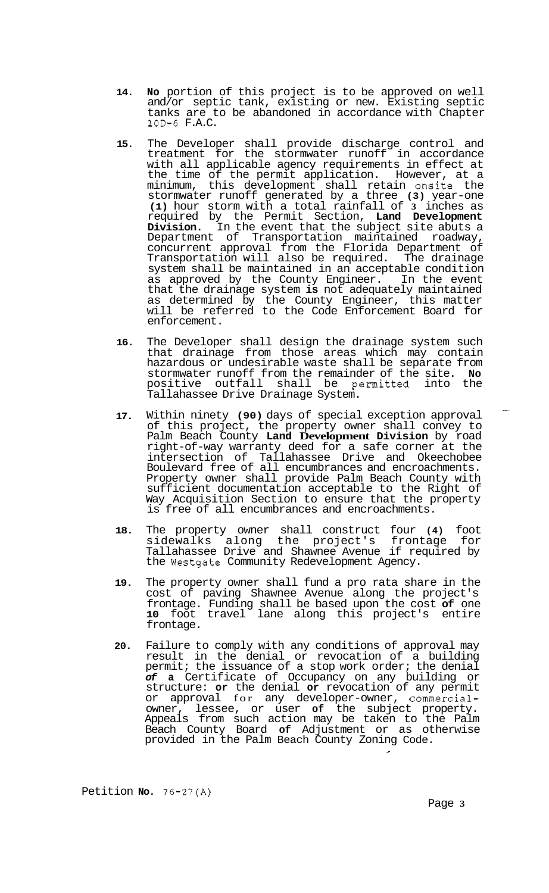- **14. No** portion of this project is to be approved on well and/or septic tank, existing or new. Existing septic tanks are to be abandoned in accordance with Chapter 10D-6 F.A.C.
- **15.** The Developer shall provide discharge control and treatment for the stormwater runoff in accordance with all applicable agency requirements in effect at the time of the permit application. However, at a minimum, this development shall retain onsite the stormwater runoff generated by a three **(3)** year-one **(1)** hour storm with a total rainfall of **3** inches as required by the Permit Section, **Land Development Division.** In the event that the subject site abuts a Department of Transportation maintained roadway, concurrent approval from the Florida Department of Transportation will also be required. The drainage system shall be maintained in an acceptable condition as approved by the County Engineer. In the event that the drainage system **is** not adequately maintained as determined by the County Engineer, this matter will be referred to the Code Enforcement Board for enforcement.
- **16.** The Developer shall design the drainage system such that drainage from those areas which may contain hazardous or undesirable waste shall be separate from stormwater runoff from the remainder of the site. **No**  positive outfall shall be permitted into the Tallahassee Drive Drainage System.
- **17.** Within ninety **(90)** days of special exception approval of this project, the property owner shall convey to Palm Beach County **Land Development Division** by road right-of-way warranty deed for a safe corner at the intersection of Tallahassee Drive and Okeechobee Boulevard free of all encumbrances and encroachments. Property owner shall provide Palm Beach County with sufficient documentation acceptable to the Right of Way Acquisition Section to ensure that the property is free of all encumbrances and encroachments.
- **18.** The property owner shall construct four **(4)** foot sidewalks along the project's frontage for Tallahassee Drive and Shawnee Avenue if required by the Westgate Community Redevelopment Agency.
- **19.** The property owner shall fund a pro rata share in the cost of paving Shawnee Avenue along the project's frontage. Funding shall be based upon the cost **of** one **10** foot travel lane along this project's entire frontage.
- **20.** Failure to comply with any conditions of approval may result in the denial or revocation of a building permit; the issuance of a stop work order; the denial *of* **a** Certificate of Occupancy on any building or structure: **or** the denial **or** revocation of any permit or approval for any developer-owner, commercialowner, lessee, or user **of** the subject property. Appeals from such action may be taken to the Palm Beach County Board **of** Adjustment or as otherwise provided in the Palm Beach County Zoning Code.

Petition **No. 76-27(A)** 

Page **3**